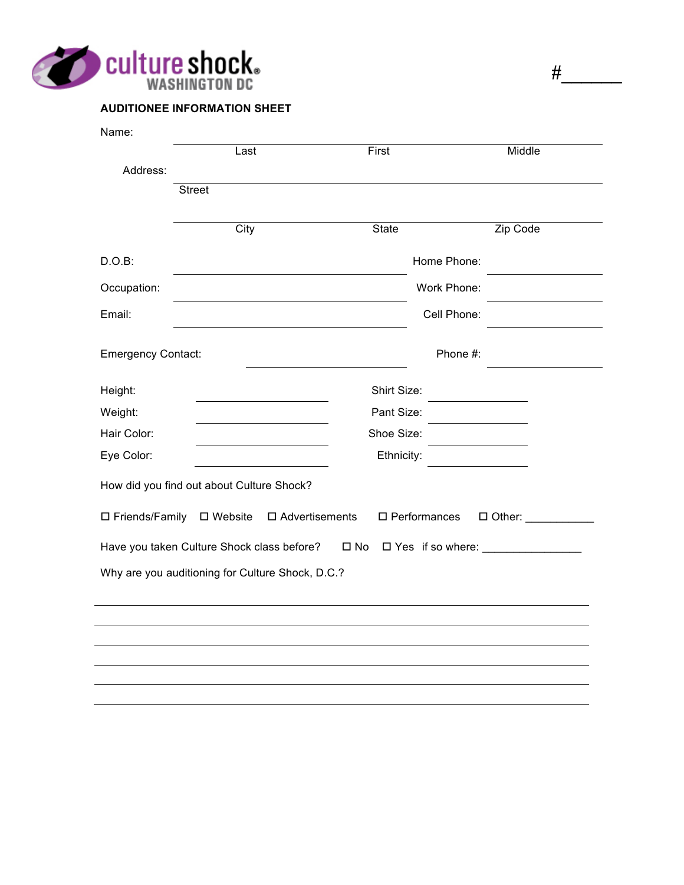

| <b>AUDITIONEE INFORMATION SHEET</b> |  |
|-------------------------------------|--|

| Name:                                            |                   |                                                    |                                                |
|--------------------------------------------------|-------------------|----------------------------------------------------|------------------------------------------------|
|                                                  | Last              | First                                              | Middle                                         |
| Address:                                         |                   |                                                    |                                                |
|                                                  | <b>Street</b>     |                                                    |                                                |
|                                                  | City              | <b>State</b>                                       | Zip Code                                       |
| $D.O.B$ :                                        |                   |                                                    | Home Phone:                                    |
| Occupation:                                      |                   |                                                    | Work Phone:                                    |
| Email:                                           |                   |                                                    | Cell Phone:                                    |
| <b>Emergency Contact:</b>                        |                   |                                                    | Phone #:                                       |
| Height:                                          |                   | Shirt Size:                                        |                                                |
| Weight:                                          |                   | Pant Size:                                         |                                                |
| Hair Color:                                      | Shoe Size:        |                                                    |                                                |
| Eye Color:                                       |                   | Ethnicity:                                         |                                                |
| How did you find out about Culture Shock?        |                   |                                                    |                                                |
| □ Friends/Family                                 | $\square$ Website | $\square$ Advertisements<br>$\square$ Performances | $\Box$ Other: $\_\_\_\_\_\_\_\_\_\_\_\_\_\_\_$ |
| Have you taken Culture Shock class before?       |                   | $\square$ No                                       | □ Yes if so where: _______________             |
| Why are you auditioning for Culture Shock, D.C.? |                   |                                                    |                                                |
|                                                  |                   |                                                    |                                                |
|                                                  |                   |                                                    |                                                |
|                                                  |                   |                                                    |                                                |
|                                                  |                   |                                                    |                                                |
|                                                  |                   |                                                    |                                                |